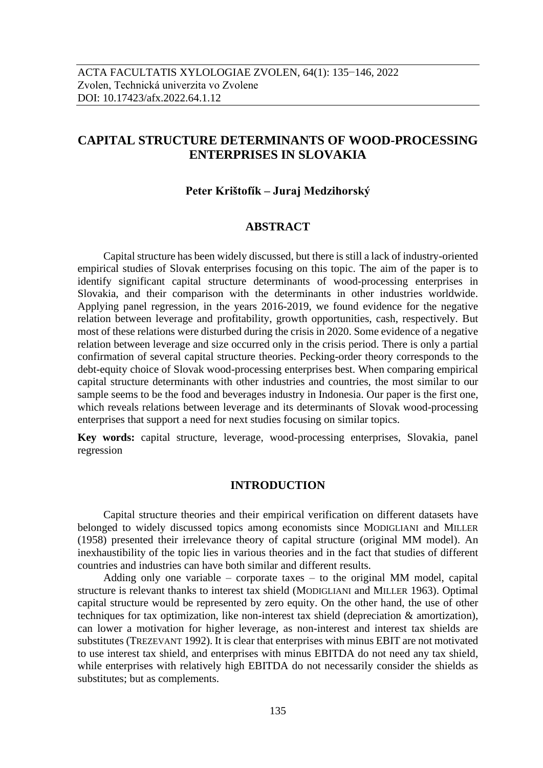# **CAPITAL STRUCTURE DETERMINANTS OF WOOD-PROCESSING ENTERPRISES IN SLOVAKIA**

# **Peter Krištofík – Juraj Medzihorský**

# **ABSTRACT**

Capital structure has been widely discussed, but there is still a lack of industry-oriented empirical studies of Slovak enterprises focusing on this topic. The aim of the paper is to identify significant capital structure determinants of wood-processing enterprises in Slovakia, and their comparison with the determinants in other industries worldwide. Applying panel regression, in the years 2016-2019, we found evidence for the negative relation between leverage and profitability, growth opportunities, cash, respectively. But most of these relations were disturbed during the crisis in 2020. Some evidence of a negative relation between leverage and size occurred only in the crisis period. There is only a partial confirmation of several capital structure theories. Pecking-order theory corresponds to the debt-equity choice of Slovak wood-processing enterprises best. When comparing empirical capital structure determinants with other industries and countries, the most similar to our sample seems to be the food and beverages industry in Indonesia. Our paper is the first one, which reveals relations between leverage and its determinants of Slovak wood-processing enterprises that support a need for next studies focusing on similar topics.

**Key words:** capital structure, leverage, wood-processing enterprises, Slovakia, panel regression

# **INTRODUCTION**

Capital structure theories and their empirical verification on different datasets have belonged to widely discussed topics among economists since MODIGLIANI and MILLER (1958) presented their irrelevance theory of capital structure (original MM model). An inexhaustibility of the topic lies in various theories and in the fact that studies of different countries and industries can have both similar and different results.

Adding only one variable – corporate taxes – to the original MM model, capital structure is relevant thanks to interest tax shield (MODIGLIANI and MILLER 1963). Optimal capital structure would be represented by zero equity. On the other hand, the use of other techniques for tax optimization, like non-interest tax shield (depreciation & amortization), can lower a motivation for higher leverage, as non-interest and interest tax shields are substitutes (TREZEVANT 1992). It is clear that enterprises with minus EBIT are not motivated to use interest tax shield, and enterprises with minus EBITDA do not need any tax shield, while enterprises with relatively high EBITDA do not necessarily consider the shields as substitutes; but as complements.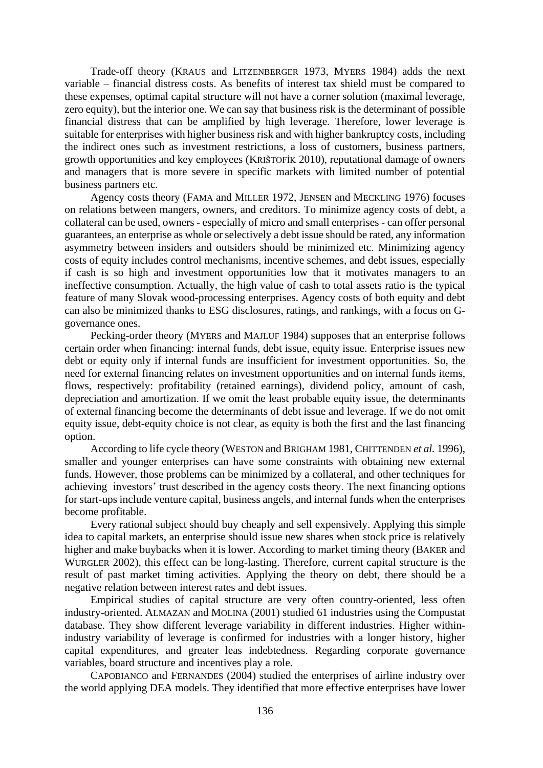Trade-off theory (KRAUS and LITZENBERGER 1973, MYERS 1984) adds the next variable – financial distress costs. As benefits of interest tax shield must be compared to these expenses, optimal capital structure will not have a corner solution (maximal leverage, zero equity), but the interior one. We can say that business risk is the determinant of possible financial distress that can be amplified by high leverage. Therefore, lower leverage is suitable for enterprises with higher business risk and with higher bankruptcy costs, including the indirect ones such as investment restrictions, a loss of customers, business partners, growth opportunities and key employees (KRIŠTOFÍK 2010), reputational damage of owners and managers that is more severe in specific markets with limited number of potential business partners etc.

Agency costs theory (FAMA and MILLER 1972, JENSEN and MECKLING 1976) focuses on relations between mangers, owners, and creditors. To minimize agency costs of debt, a collateral can be used, owners - especially of micro and small enterprises - can offer personal guarantees, an enterprise as whole or selectively a debt issue should be rated, any information asymmetry between insiders and outsiders should be minimized etc. Minimizing agency costs of equity includes control mechanisms, incentive schemes, and debt issues, especially if cash is so high and investment opportunities low that it motivates managers to an ineffective consumption. Actually, the high value of cash to total assets ratio is the typical feature of many Slovak wood-processing enterprises. Agency costs of both equity and debt can also be minimized thanks to ESG disclosures, ratings, and rankings, with a focus on Ggovernance ones.

Pecking-order theory (MYERS and MAJLUF 1984) supposes that an enterprise follows certain order when financing: internal funds, debt issue, equity issue. Enterprise issues new debt or equity only if internal funds are insufficient for investment opportunities. So, the need for external financing relates on investment opportunities and on internal funds items, flows, respectively: profitability (retained earnings), dividend policy, amount of cash, depreciation and amortization. If we omit the least probable equity issue, the determinants of external financing become the determinants of debt issue and leverage. If we do not omit equity issue, debt-equity choice is not clear, as equity is both the first and the last financing option.

According to life cycle theory (WESTON and BRIGHAM 1981, CHITTENDEN *et al.* 1996), smaller and younger enterprises can have some constraints with obtaining new external funds. However, those problems can be minimized by a collateral, and other techniques for achieving investors' trust described in the agency costs theory. The next financing options for start-ups include venture capital, business angels, and internal funds when the enterprises become profitable.

Every rational subject should buy cheaply and sell expensively. Applying this simple idea to capital markets, an enterprise should issue new shares when stock price is relatively higher and make buybacks when it is lower. According to market timing theory (BAKER and WURGLER 2002), this effect can be long-lasting. Therefore, current capital structure is the result of past market timing activities. Applying the theory on debt, there should be a negative relation between interest rates and debt issues.

Empirical studies of capital structure are very often country-oriented, less often industry-oriented. ALMAZAN and MOLINA (2001) studied 61 industries using the Compustat database. They show different leverage variability in different industries. Higher withinindustry variability of leverage is confirmed for industries with a longer history, higher capital expenditures, and greater leas indebtedness. Regarding corporate governance variables, board structure and incentives play a role.

CAPOBIANCO and FERNANDES (2004) studied the enterprises of airline industry over the world applying DEA models. They identified that more effective enterprises have lower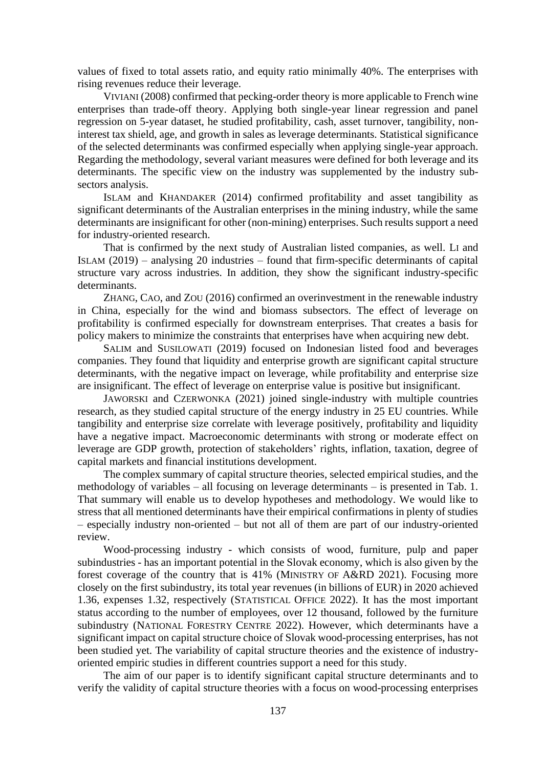values of fixed to total assets ratio, and equity ratio minimally 40%. The enterprises with rising revenues reduce their leverage.

VIVIANI (2008) confirmed that pecking-order theory is more applicable to French wine enterprises than trade-off theory. Applying both single-year linear regression and panel regression on 5-year dataset, he studied profitability, cash, asset turnover, tangibility, noninterest tax shield, age, and growth in sales as leverage determinants. Statistical significance of the selected determinants was confirmed especially when applying single-year approach. Regarding the methodology, several variant measures were defined for both leverage and its determinants. The specific view on the industry was supplemented by the industry subsectors analysis.

ISLAM and KHANDAKER (2014) confirmed profitability and asset tangibility as significant determinants of the Australian enterprises in the mining industry, while the same determinants are insignificant for other (non-mining) enterprises. Such results support a need for industry-oriented research.

That is confirmed by the next study of Australian listed companies, as well. LI and ISLAM (2019) – analysing 20 industries – found that firm-specific determinants of capital structure vary across industries. In addition, they show the significant industry-specific determinants.

ZHANG, CAO, and ZOU (2016) confirmed an overinvestment in the renewable industry in China, especially for the wind and biomass subsectors. The effect of leverage on profitability is confirmed especially for downstream enterprises. That creates a basis for policy makers to minimize the constraints that enterprises have when acquiring new debt.

SALIM and SUSILOWATI (2019) focused on Indonesian listed food and beverages companies. They found that liquidity and enterprise growth are significant capital structure determinants, with the negative impact on leverage, while profitability and enterprise size are insignificant. The effect of leverage on enterprise value is positive but insignificant.

JAWORSKI and CZERWONKA (2021) joined single-industry with multiple countries research, as they studied capital structure of the energy industry in 25 EU countries. While tangibility and enterprise size correlate with leverage positively, profitability and liquidity have a negative impact. Macroeconomic determinants with strong or moderate effect on leverage are GDP growth, protection of stakeholders' rights, inflation, taxation, degree of capital markets and financial institutions development.

The complex summary of capital structure theories, selected empirical studies, and the methodology of variables – all focusing on leverage determinants – is presented in Tab. 1. That summary will enable us to develop hypotheses and methodology. We would like to stress that all mentioned determinants have their empirical confirmations in plenty of studies – especially industry non-oriented – but not all of them are part of our industry-oriented review.

Wood-processing industry - which consists of wood, furniture, pulp and paper subindustries - has an important potential in the Slovak economy, which is also given by the forest coverage of the country that is 41% (MINISTRY OF A&RD 2021). Focusing more closely on the first subindustry, its total year revenues (in billions of EUR) in 2020 achieved 1.36, expenses 1.32, respectively (STATISTICAL OFFICE 2022). It has the most important status according to the number of employees, over 12 thousand, followed by the furniture subindustry (NATIONAL FORESTRY CENTRE 2022). However, which determinants have a significant impact on capital structure choice of Slovak wood-processing enterprises, has not been studied yet. The variability of capital structure theories and the existence of industryoriented empiric studies in different countries support a need for this study.

The aim of our paper is to identify significant capital structure determinants and to verify the validity of capital structure theories with a focus on wood-processing enterprises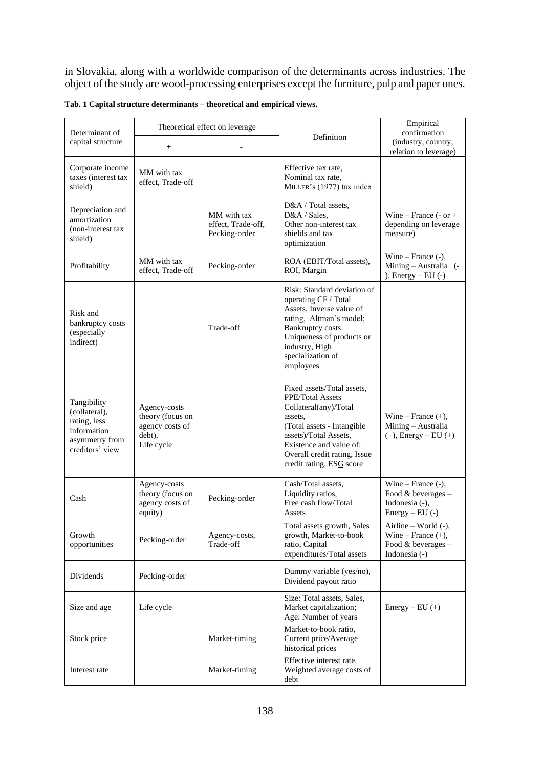in Slovakia, along with a worldwide comparison of the determinants across industries. The object of the study are wood-processing enterprises except the furniture, pulp and paper ones.

| Determinant of                                                                                   |                                                                             | Theoretical effect on leverage                     |                                                                                                                                                                                                                                         | Empirical<br>confirmation                                                              |
|--------------------------------------------------------------------------------------------------|-----------------------------------------------------------------------------|----------------------------------------------------|-----------------------------------------------------------------------------------------------------------------------------------------------------------------------------------------------------------------------------------------|----------------------------------------------------------------------------------------|
| capital structure                                                                                | $\ddot{}$                                                                   |                                                    | Definition                                                                                                                                                                                                                              | (industry, country,<br>relation to leverage)                                           |
| Corporate income<br>taxes (interest tax<br>shield)                                               | MM with tax<br>effect, Trade-off                                            |                                                    | Effective tax rate,<br>Nominal tax rate,<br>MILLER's (1977) tax index                                                                                                                                                                   |                                                                                        |
| Depreciation and<br>amortization<br>(non-interest tax)<br>shield)                                |                                                                             | MM with tax<br>effect, Trade-off,<br>Pecking-order | D&A / Total assets,<br>D&A / Sales,<br>Other non-interest tax<br>shields and tax<br>optimization                                                                                                                                        | Wine – France $(-or +$<br>depending on leverage<br>measure)                            |
| Profitability                                                                                    | MM with tax<br>effect, Trade-off                                            | Pecking-order                                      | ROA (EBIT/Total assets),<br>ROI, Margin                                                                                                                                                                                                 | Wine – France $(-)$ ,<br>Mining - Australia (-<br>), $Energy - EU (-)$                 |
| Risk and<br>bankruptcy costs<br>(especially<br>indirect)                                         |                                                                             | Trade-off                                          | Risk: Standard deviation of<br>operating CF / Total<br>Assets, Inverse value of<br>rating, Altman's model;<br>Bankruptcy costs:<br>Uniqueness of products or<br>industry, High<br>specialization of<br>employees                        |                                                                                        |
| Tangibility<br>(collateral),<br>rating, less<br>information<br>asymmetry from<br>creditors' view | Agency-costs<br>theory (focus on<br>agency costs of<br>debt),<br>Life cycle |                                                    | Fixed assets/Total assets,<br><b>PPE/Total Assets</b><br>Collateral(any)/Total<br>assets,<br>(Total assets - Intangible<br>assets)/Total Assets,<br>Existence and value of:<br>Overall credit rating, Issue<br>credit rating, ESG score | Wine – France $(+)$ ,<br>Mining - Australia<br>$(+)$ , Energy – EU $(+)$               |
| Cash                                                                                             | Agency-costs<br>theory (focus on<br>agency costs of<br>equity)              | Pecking-order                                      | Cash/Total assets,<br>Liquidity ratios,<br>Free cash flow/Total<br>Assets                                                                                                                                                               | Wine – France $(-)$ ,<br>Food & beverages -<br>Indonesia (-),<br>Energy $-$ EU $(-)$   |
| Growth<br>opportunities                                                                          | Pecking-order                                                               | Agency-costs,<br>Trade-off                         | Total assets growth, Sales<br>growth, Market-to-book<br>ratio, Capital<br>expenditures/Total assets                                                                                                                                     | Airline - World (-),<br>Wine – France $(+)$ ,<br>Food $&$ beverages –<br>Indonesia (-) |
| Dividends                                                                                        | Pecking-order                                                               |                                                    | Dummy variable (yes/no),<br>Dividend payout ratio                                                                                                                                                                                       |                                                                                        |
| Size and age                                                                                     | Life cycle                                                                  |                                                    | Size: Total assets, Sales,<br>Market capitalization;<br>Age: Number of years                                                                                                                                                            | $Energy - EU (+)$                                                                      |
| Stock price                                                                                      |                                                                             | Market-timing                                      | Market-to-book ratio.<br>Current price/Average<br>historical prices                                                                                                                                                                     |                                                                                        |
| Interest rate                                                                                    |                                                                             | Market-timing                                      | Effective interest rate,<br>Weighted average costs of<br>debt                                                                                                                                                                           |                                                                                        |

**Tab. 1 Capital structure determinants – theoretical and empirical views.**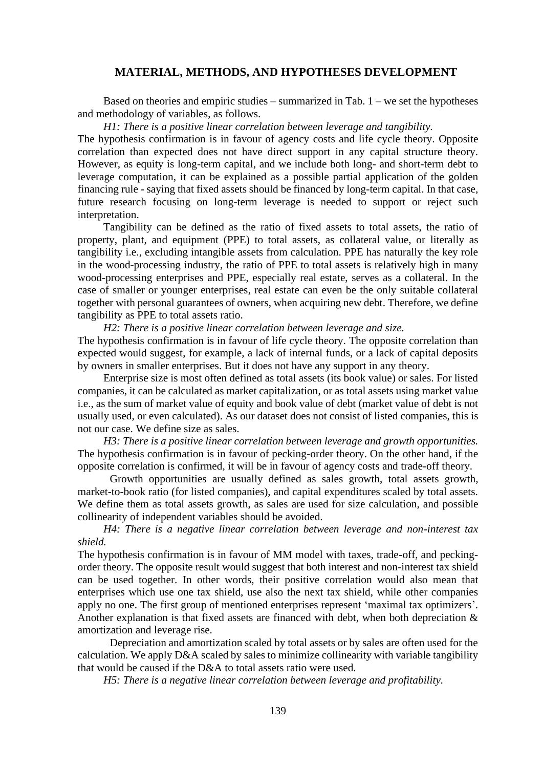### **MATERIAL, METHODS, AND HYPOTHESES DEVELOPMENT**

Based on theories and empiric studies – summarized in Tab.  $1$  – we set the hypotheses and methodology of variables, as follows.

*H1: There is a positive linear correlation between leverage and tangibility.* 

The hypothesis confirmation is in favour of agency costs and life cycle theory. Opposite correlation than expected does not have direct support in any capital structure theory. However, as equity is long-term capital, and we include both long- and short-term debt to leverage computation, it can be explained as a possible partial application of the golden financing rule - saying that fixed assets should be financed by long-term capital. In that case, future research focusing on long-term leverage is needed to support or reject such interpretation.

Tangibility can be defined as the ratio of fixed assets to total assets, the ratio of property, plant, and equipment (PPE) to total assets, as collateral value, or literally as tangibility i.e., excluding intangible assets from calculation. PPE has naturally the key role in the wood-processing industry, the ratio of PPE to total assets is relatively high in many wood-processing enterprises and PPE, especially real estate, serves as a collateral. In the case of smaller or younger enterprises, real estate can even be the only suitable collateral together with personal guarantees of owners, when acquiring new debt. Therefore, we define tangibility as PPE to total assets ratio.

*H2: There is a positive linear correlation between leverage and size.* 

The hypothesis confirmation is in favour of life cycle theory. The opposite correlation than expected would suggest, for example, a lack of internal funds, or a lack of capital deposits by owners in smaller enterprises. But it does not have any support in any theory.

Enterprise size is most often defined as total assets (its book value) or sales. For listed companies, it can be calculated as market capitalization, or as total assets using market value i.e., as the sum of market value of equity and book value of debt (market value of debt is not usually used, or even calculated). As our dataset does not consist of listed companies, this is not our case. We define size as sales.

*H3: There is a positive linear correlation between leverage and growth opportunities.*  The hypothesis confirmation is in favour of pecking-order theory. On the other hand, if the opposite correlation is confirmed, it will be in favour of agency costs and trade-off theory.

Growth opportunities are usually defined as sales growth, total assets growth, market-to-book ratio (for listed companies), and capital expenditures scaled by total assets. We define them as total assets growth, as sales are used for size calculation, and possible collinearity of independent variables should be avoided.

*H4: There is a negative linear correlation between leverage and non-interest tax shield.* 

The hypothesis confirmation is in favour of MM model with taxes, trade-off, and peckingorder theory. The opposite result would suggest that both interest and non-interest tax shield can be used together. In other words, their positive correlation would also mean that enterprises which use one tax shield, use also the next tax shield, while other companies apply no one. The first group of mentioned enterprises represent 'maximal tax optimizers'. Another explanation is that fixed assets are financed with debt, when both depreciation & amortization and leverage rise.

Depreciation and amortization scaled by total assets or by sales are often used for the calculation. We apply D&A scaled by sales to minimize collinearity with variable tangibility that would be caused if the D&A to total assets ratio were used.

*H5: There is a negative linear correlation between leverage and profitability.*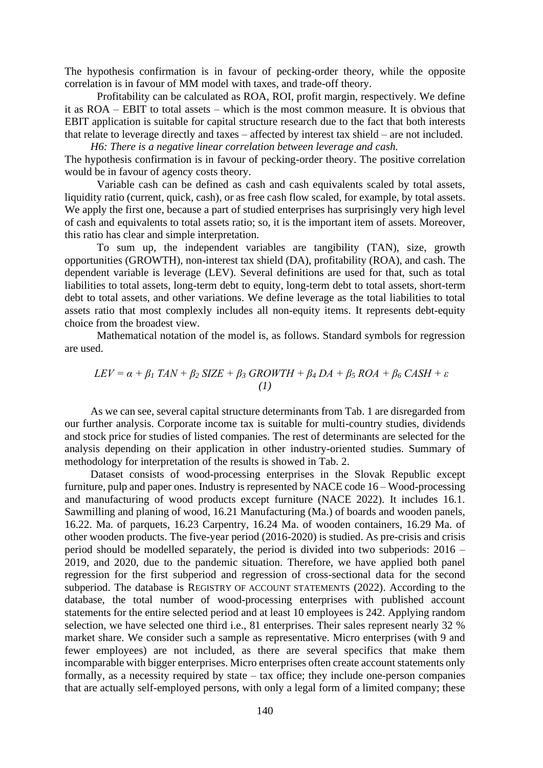The hypothesis confirmation is in favour of pecking-order theory, while the opposite correlation is in favour of MM model with taxes, and trade-off theory.

Profitability can be calculated as ROA, ROI, profit margin, respectively. We define it as ROA – EBIT to total assets – which is the most common measure. It is obvious that EBIT application is suitable for capital structure research due to the fact that both interests that relate to leverage directly and taxes – affected by interest tax shield – are not included.

*H6: There is a negative linear correlation between leverage and cash.*  The hypothesis confirmation is in favour of pecking-order theory. The positive correlation would be in favour of agency costs theory.

Variable cash can be defined as cash and cash equivalents scaled by total assets, liquidity ratio (current, quick, cash), or as free cash flow scaled, for example, by total assets. We apply the first one, because a part of studied enterprises has surprisingly very high level of cash and equivalents to total assets ratio; so, it is the important item of assets. Moreover, this ratio has clear and simple interpretation.

To sum up, the independent variables are tangibility (TAN), size, growth opportunities (GROWTH), non-interest tax shield (DA), profitability (ROA), and cash. The dependent variable is leverage (LEV). Several definitions are used for that, such as total liabilities to total assets, long-term debt to equity, long-term debt to total assets, short-term debt to total assets, and other variations. We define leverage as the total liabilities to total assets ratio that most complexly includes all non-equity items. It represents debt-equity choice from the broadest view.

Mathematical notation of the model is, as follows. Standard symbols for regression are used.

$$
LEV = \alpha + \beta_1 TAN + \beta_2 SIZE + \beta_3 GROWTH + \beta_4 DA + \beta_5 ROA + \beta_6 CASH + \varepsilon
$$
  
(1)

As we can see, several capital structure determinants from Tab. 1 are disregarded from our further analysis. Corporate income tax is suitable for multi-country studies, dividends and stock price for studies of listed companies. The rest of determinants are selected for the analysis depending on their application in other industry-oriented studies. Summary of methodology for interpretation of the results is showed in Tab. 2.

Dataset consists of wood-processing enterprises in the Slovak Republic except furniture, pulp and paper ones. Industry is represented by NACE code 16 – Wood-processing and manufacturing of wood products except furniture (NACE 2022). It includes 16.1. Sawmilling and planing of wood, 16.21 Manufacturing (Ma.) of boards and wooden panels, 16.22. Ma. of parquets, 16.23 Carpentry, 16.24 Ma. of wooden containers, 16.29 Ma. of other wooden products. The five-year period (2016-2020) is studied. As pre-crisis and crisis period should be modelled separately, the period is divided into two subperiods: 2016 – 2019, and 2020, due to the pandemic situation. Therefore, we have applied both panel regression for the first subperiod and regression of cross-sectional data for the second subperiod. The database is REGISTRY OF ACCOUNT STATEMENTS (2022). According to the database, the total number of wood-processing enterprises with published account statements for the entire selected period and at least 10 employees is 242. Applying random selection, we have selected one third i.e., 81 enterprises. Their sales represent nearly 32 % market share. We consider such a sample as representative. Micro enterprises (with 9 and fewer employees) are not included, as there are several specifics that make them incomparable with bigger enterprises. Micro enterprises often create account statements only formally, as a necessity required by state – tax office; they include one-person companies that are actually self-employed persons, with only a legal form of a limited company; these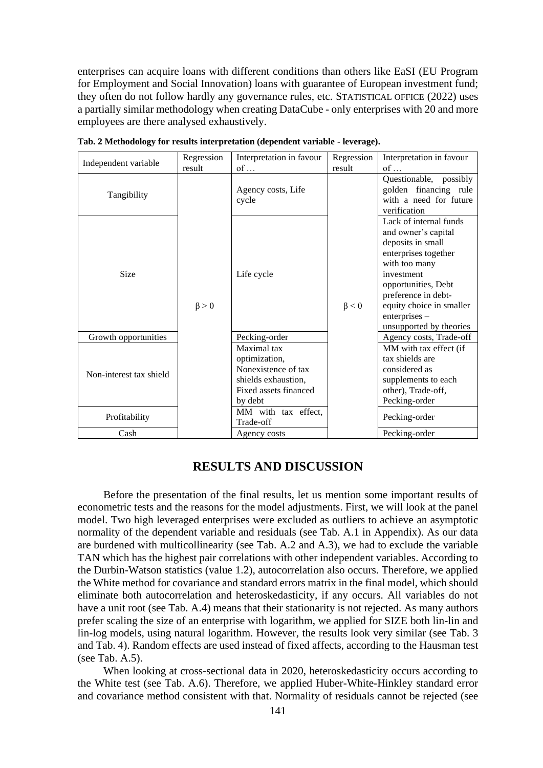enterprises can acquire loans with different conditions than others like EaSI (EU Program for Employment and Social Innovation) loans with guarantee of European investment fund; they often do not follow hardly any governance rules, etc. STATISTICAL OFFICE (2022) uses a partially similar methodology when creating DataCube - only enterprises with 20 and more employees are there analysed exhaustively.

| Independent variable    | Regression  | Interpretation in favour                                                                                       | Regression  | Interpretation in favour                                                                                                                                                                                                                          |
|-------------------------|-------------|----------------------------------------------------------------------------------------------------------------|-------------|---------------------------------------------------------------------------------------------------------------------------------------------------------------------------------------------------------------------------------------------------|
|                         | result      | $of \dots$                                                                                                     | result      | $of \dots$                                                                                                                                                                                                                                        |
| Tangibility             |             | Agency costs, Life<br>cycle                                                                                    |             | Questionable, possibly<br>golden financing rule<br>with a need for future<br>verification                                                                                                                                                         |
| <b>Size</b>             | $\beta > 0$ | Life cycle                                                                                                     | $\beta < 0$ | Lack of internal funds<br>and owner's capital<br>deposits in small<br>enterprises together<br>with too many<br>investment<br>opportunities, Debt<br>preference in debt-<br>equity choice in smaller<br>$enterprises -$<br>unsupported by theories |
| Growth opportunities    |             | Pecking-order                                                                                                  |             | Agency costs, Trade-off                                                                                                                                                                                                                           |
| Non-interest tax shield |             | Maximal tax<br>optimization,<br>Nonexistence of tax<br>shields exhaustion,<br>Fixed assets financed<br>by debt |             | MM with tax effect (if<br>tax shields are<br>considered as<br>supplements to each<br>other), Trade-off,<br>Pecking-order                                                                                                                          |
| Profitability           |             | MM with tax effect,<br>Trade-off                                                                               |             | Pecking-order                                                                                                                                                                                                                                     |
| Cash                    |             | Agency costs                                                                                                   |             | Pecking-order                                                                                                                                                                                                                                     |

**Tab. 2 Methodology for results interpretation (dependent variable - leverage).**

# **RESULTS AND DISCUSSION**

Before the presentation of the final results, let us mention some important results of econometric tests and the reasons for the model adjustments. First, we will look at the panel model. Two high leveraged enterprises were excluded as outliers to achieve an asymptotic normality of the dependent variable and residuals (see Tab. A.1 in Appendix). As our data are burdened with multicollinearity (see Tab. A.2 and A.3), we had to exclude the variable TAN which has the highest pair correlations with other independent variables. According to the Durbin-Watson statistics (value 1.2), autocorrelation also occurs. Therefore, we applied the White method for covariance and standard errors matrix in the final model, which should eliminate both autocorrelation and heteroskedasticity, if any occurs. All variables do not have a unit root (see Tab. A.4) means that their stationarity is not rejected. As many authors prefer scaling the size of an enterprise with logarithm, we applied for SIZE both lin-lin and lin-log models, using natural logarithm. However, the results look very similar (see Tab. 3 and Tab. 4). Random effects are used instead of fixed affects, according to the Hausman test (see Tab. A.5).

When looking at cross-sectional data in 2020, heteroskedasticity occurs according to the White test (see Tab. A.6). Therefore, we applied Huber-White-Hinkley standard error and covariance method consistent with that. Normality of residuals cannot be rejected (see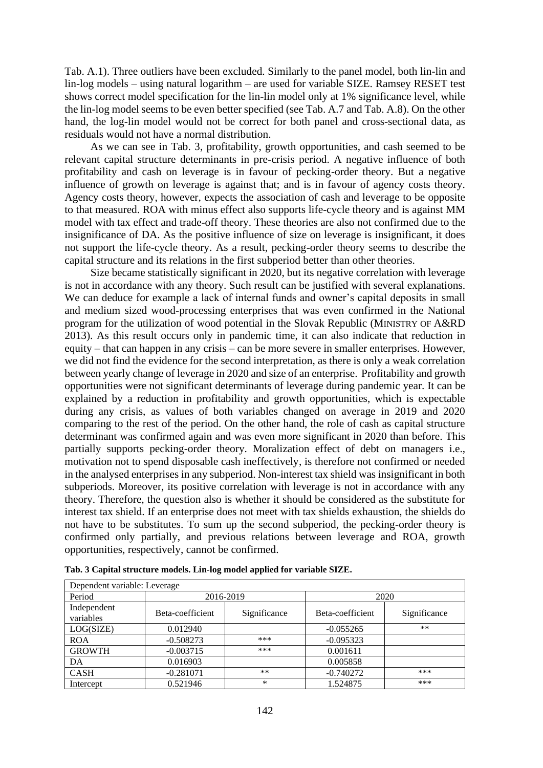Tab. A.1). Three outliers have been excluded. Similarly to the panel model, both lin-lin and lin-log models – using natural logarithm – are used for variable SIZE. Ramsey RESET test shows correct model specification for the lin-lin model only at 1% significance level, while the lin-log model seems to be even better specified (see Tab. A.7 and Tab. A.8). On the other hand, the log-lin model would not be correct for both panel and cross-sectional data, as residuals would not have a normal distribution.

As we can see in Tab. 3, profitability, growth opportunities, and cash seemed to be relevant capital structure determinants in pre-crisis period. A negative influence of both profitability and cash on leverage is in favour of pecking-order theory. But a negative influence of growth on leverage is against that; and is in favour of agency costs theory. Agency costs theory, however, expects the association of cash and leverage to be opposite to that measured. ROA with minus effect also supports life-cycle theory and is against MM model with tax effect and trade-off theory. These theories are also not confirmed due to the insignificance of DA. As the positive influence of size on leverage is insignificant, it does not support the life-cycle theory. As a result, pecking-order theory seems to describe the capital structure and its relations in the first subperiod better than other theories.

Size became statistically significant in 2020, but its negative correlation with leverage is not in accordance with any theory. Such result can be justified with several explanations. We can deduce for example a lack of internal funds and owner's capital deposits in small and medium sized wood-processing enterprises that was even confirmed in the National program for the utilization of wood potential in the Slovak Republic (MINISTRY OF A&RD 2013). As this result occurs only in pandemic time, it can also indicate that reduction in equity – that can happen in any crisis – can be more severe in smaller enterprises. However, we did not find the evidence for the second interpretation, as there is only a weak correlation between yearly change of leverage in 2020 and size of an enterprise. Profitability and growth opportunities were not significant determinants of leverage during pandemic year. It can be explained by a reduction in profitability and growth opportunities, which is expectable during any crisis, as values of both variables changed on average in 2019 and 2020 comparing to the rest of the period. On the other hand, the role of cash as capital structure determinant was confirmed again and was even more significant in 2020 than before. This partially supports pecking-order theory. Moralization effect of debt on managers i.e., motivation not to spend disposable cash ineffectively, is therefore not confirmed or needed in the analysed enterprises in any subperiod. Non-interest tax shield was insignificant in both subperiods. Moreover, its positive correlation with leverage is not in accordance with any theory. Therefore, the question also is whether it should be considered as the substitute for interest tax shield. If an enterprise does not meet with tax shields exhaustion, the shields do not have to be substitutes. To sum up the second subperiod, the pecking-order theory is confirmed only partially, and previous relations between leverage and ROA, growth opportunities, respectively, cannot be confirmed.

| Dependent variable: Leverage |                  |              |                  |              |  |  |
|------------------------------|------------------|--------------|------------------|--------------|--|--|
| Period                       | 2016-2019        |              | 2020             |              |  |  |
| Independent<br>variables     | Beta-coefficient | Significance | Beta-coefficient | Significance |  |  |
| LOG(SIZE)                    | 0.012940         |              | $-0.055265$      | $***$        |  |  |
| <b>ROA</b>                   | $-0.508273$      | ***          | $-0.095323$      |              |  |  |
| <b>GROWTH</b>                | $-0.003715$      | ***          | 0.001611         |              |  |  |
| DA                           | 0.016903         |              | 0.005858         |              |  |  |
| <b>CASH</b>                  | $-0.281071$      | $***$        | $-0.740272$      | ***          |  |  |
| Intercept                    | 0.521946         | *            | 1.524875         | ***          |  |  |

**Tab. 3 Capital structure models. Lin-log model applied for variable SIZE.**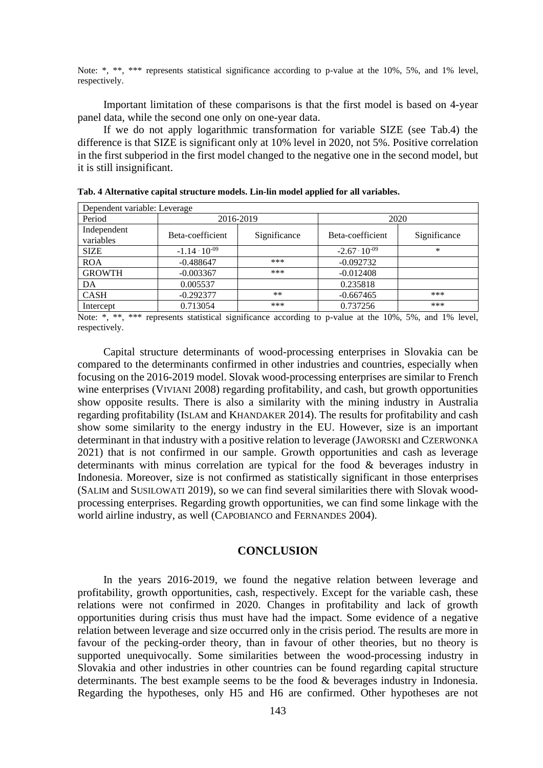Note: \*, \*\*, \*\*\* represents statistical significance according to p-value at the 10%, 5%, and 1% level, respectively.

Important limitation of these comparisons is that the first model is based on 4-year panel data, while the second one only on one-year data.

If we do not apply logarithmic transformation for variable SIZE (see Tab.4) the difference is that SIZE is significant only at 10% level in 2020, not 5%. Positive correlation in the first subperiod in the first model changed to the negative one in the second model, but it is still insignificant.

| Dependent variable: Leverage |                        |              |                        |              |  |  |
|------------------------------|------------------------|--------------|------------------------|--------------|--|--|
| Period                       | 2016-2019              |              | 2020                   |              |  |  |
| Independent<br>variables     | Beta-coefficient       | Significance | Beta-coefficient       | Significance |  |  |
| <b>SIZE</b>                  | $-1.14 \cdot 10^{-09}$ |              | $-2.67 \cdot 10^{-09}$ | $\ast$       |  |  |
| <b>ROA</b>                   | $-0.488647$            | ***          | $-0.092732$            |              |  |  |
| <b>GROWTH</b>                | $-0.003367$            | ***          | $-0.012408$            |              |  |  |
| DA                           | 0.005537               |              | 0.235818               |              |  |  |
| <b>CASH</b>                  | $-0.292377$            | $***$        | $-0.667465$            | ***          |  |  |
| Intercept                    | 0.713054               | ***          | 0.737256               | ***          |  |  |

**Tab. 4 Alternative capital structure models. Lin-lin model applied for all variables.**

Note: \*, \*\*, \*\*\* represents statistical significance according to p-value at the 10%, 5%, and 1% level, respectively.

Capital structure determinants of wood-processing enterprises in Slovakia can be compared to the determinants confirmed in other industries and countries, especially when focusing on the 2016-2019 model. Slovak wood-processing enterprises are similar to French wine enterprises (VIVIANI 2008) regarding profitability, and cash, but growth opportunities show opposite results. There is also a similarity with the mining industry in Australia regarding profitability (ISLAM and KHANDAKER 2014). The results for profitability and cash show some similarity to the energy industry in the EU. However, size is an important determinant in that industry with a positive relation to leverage (JAWORSKI and CZERWONKA 2021) that is not confirmed in our sample. Growth opportunities and cash as leverage determinants with minus correlation are typical for the food & beverages industry in Indonesia. Moreover, size is not confirmed as statistically significant in those enterprises (SALIM and SUSILOWATI 2019), so we can find several similarities there with Slovak woodprocessing enterprises. Regarding growth opportunities, we can find some linkage with the world airline industry, as well (CAPOBIANCO and FERNANDES 2004).

### **CONCLUSION**

In the years 2016-2019, we found the negative relation between leverage and profitability, growth opportunities, cash, respectively. Except for the variable cash, these relations were not confirmed in 2020. Changes in profitability and lack of growth opportunities during crisis thus must have had the impact. Some evidence of a negative relation between leverage and size occurred only in the crisis period. The results are more in favour of the pecking-order theory, than in favour of other theories, but no theory is supported unequivocally. Some similarities between the wood-processing industry in Slovakia and other industries in other countries can be found regarding capital structure determinants. The best example seems to be the food & beverages industry in Indonesia. Regarding the hypotheses, only H5 and H6 are confirmed. Other hypotheses are not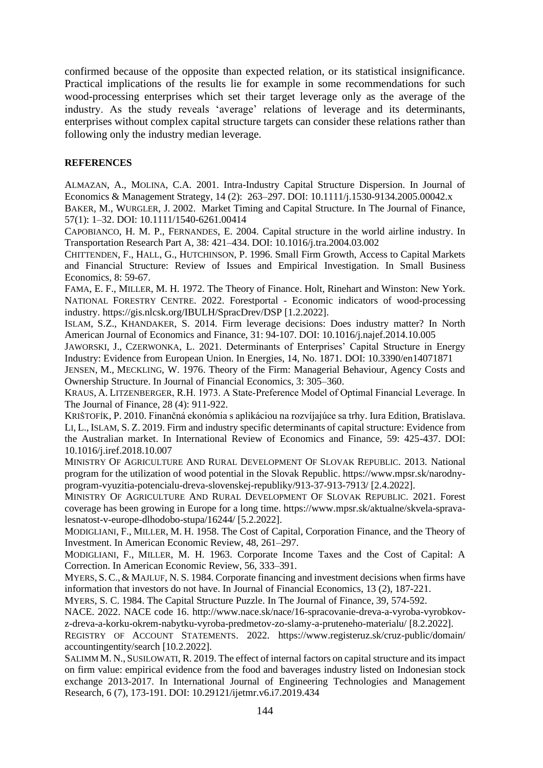confirmed because of the opposite than expected relation, or its statistical insignificance. Practical implications of the results lie for example in some recommendations for such wood-processing enterprises which set their target leverage only as the average of the industry. As the study reveals 'average' relations of leverage and its determinants, enterprises without complex capital structure targets can consider these relations rather than following only the industry median leverage.

## **REFERENCES**

ALMAZAN, A., MOLINA, C.A. 2001. Intra-Industry Capital Structure Dispersion. In Journal of Economics & Management Strategy, 14 (2): 263–297. DOI: 10.1111/j.1530-9134.2005.00042.x

BAKER, M., WURGLER, J. 2002. Market Timing and Capital Structure*.* In The Journal of Finance, 57(1): 1–32. DOI: 10.1111/1540-6261.00414

CAPOBIANCO, H. M. P., FERNANDES, E. 2004. Capital structure in the world airline industry. In Transportation Research Part A, 38: 421–434. DOI: 10.1016/j.tra.2004.03.002

CHITTENDEN, F., HALL, G., HUTCHINSON, P. 1996. Small Firm Growth, Access to Capital Markets and Financial Structure: Review of Issues and Empirical Investigation. In Small Business Economics, 8: 59-67.

FAMA, E. F., MILLER, M. H. 1972. The Theory of Finance. Holt, Rinehart and Winston: New York. NATIONAL FORESTRY CENTRE. 2022. Forestportal - Economic indicators of wood-processing industry. https://gis.nlcsk.org/IBULH/SpracDrev/DSP [1.2.2022].

ISLAM, S.Z., KHANDAKER, S. 2014. Firm leverage decisions: Does industry matter? In North American Journal of Economics and Finance, 31: 94-107. DOI: 10.1016/j.najef.2014.10.005

JAWORSKI, J., CZERWONKA, L. 2021. Determinants of Enterprises' Capital Structure in Energy Industry: Evidence from European Union. In Energies, 14, No. 1871. DOI: 10.3390/en14071871

JENSEN, M., MECKLING, W. 1976. Theory of the Firm: Managerial Behaviour, Agency Costs and Ownership Structure. In Journal of Financial Economics, 3: 305–360.

KRAUS, A. LITZENBERGER, R.H. 1973. A State‐Preference Model of Optimal Financial Leverage. In The Journal of Finance, 28 (4): 911-922.

KRIŠTOFÍK, P. 2010. Finančná ekonómia s aplikáciou na rozvíjajúce sa trhy. Iura Edition, Bratislava. LI, L., ISLAM, S. Z. 2019. Firm and industry specific determinants of capital structure: Evidence from the Australian market. In International Review of Economics and Finance, 59: 425-437. DOI: 10.1016/j.iref.2018.10.007

MINISTRY OF AGRICULTURE AND RURAL DEVELOPMENT OF SLOVAK REPUBLIC. 2013. National program for the utilization of wood potential in the Slovak Republic. https://www.mpsr.sk/narodnyprogram-vyuzitia-potencialu-dreva-slovenskej-republiky/913-37-913-7913/ [2.4.2022].

MINISTRY OF AGRICULTURE AND RURAL DEVELOPMENT OF SLOVAK REPUBLIC. 2021. Forest coverage has been growing in Europe for a long time. https://www.mpsr.sk/aktualne/skvela-spravalesnatost-v-europe-dlhodobo-stupa/16244/ [5.2.2022].

MODIGLIANI, F., MILLER, M. H. 1958. The Cost of Capital, Corporation Finance, and the Theory of Investment. In American Economic Review, 48, 261–297.

MODIGLIANI, F., MILLER, M. H. 1963. Corporate Income Taxes and the Cost of Capital: A Correction. In American Economic Review, 56, 333–391.

MYERS, S.C.,& MAJLUF, N. S. 1984. Corporate financing and investment decisions when firms have information that investors do not have. In Journal of Financial Economics, 13 (2), 187-221.

MYERS, S. C. 1984. The Capital Structure Puzzle. In The Journal of Finance, 39, 574-592.

NACE. 2022. NACE code 16. http://www.nace.sk/nace/16-spracovanie-dreva-a-vyroba-vyrobkovz-dreva-a-korku-okrem-nabytku-vyroba-predmetov-zo-slamy-a-pruteneho-materialu/ [8.2.2022].

REGISTRY OF ACCOUNT STATEMENTS. 2022. https://www.registeruz.sk/cruz-public/domain/ accountingentity/search [10.2.2022].

SALIMM M. N., SUSILOWATI, R. 2019. The effect of internal factors on capital structure and its impact on firm value: empirical evidence from the food and baverages industry listed on Indonesian stock exchange 2013-2017. In International Journal of Engineering Technologies and Management Research, 6 (7), 173-191. DOI: 10.29121/ijetmr.v6.i7.2019.434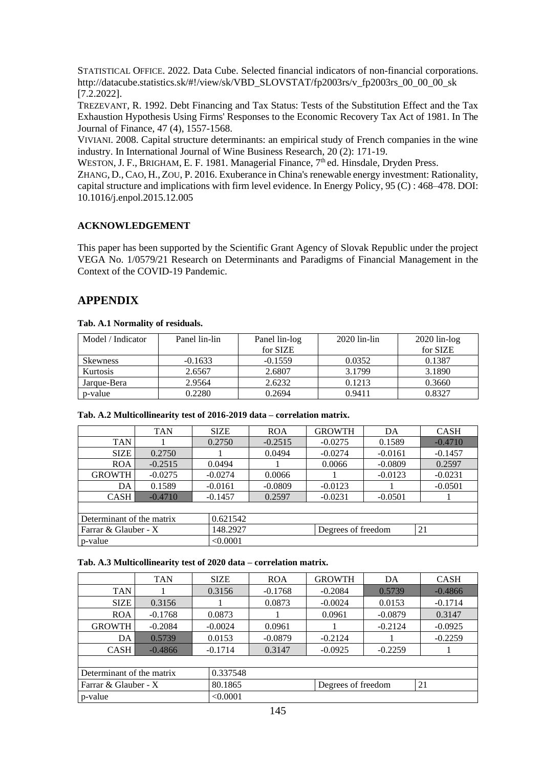STATISTICAL OFFICE. 2022. Data Cube. Selected financial indicators of non-financial corporations. http://datacube.statistics.sk/#!/view/sk/VBD\_SLOVSTAT/fp2003rs/v\_fp2003rs\_00\_00\_00\_sk [7.2.2022].

TREZEVANT, R. 1992. Debt Financing and Tax Status: Tests of the Substitution Effect and the Tax Exhaustion Hypothesis Using Firms' Responses to the Economic Recovery Tax Act of 1981. In The Journal of Finance, 47 (4), 1557-1568.

VIVIANI. 2008. Capital structure determinants: an empirical study of French companies in the wine industry. In International Journal of Wine Business Research, 20 (2): 171-19.

WESTON, J. F., BRIGHAM, E. F. 1981. Managerial Finance, 7<sup>th</sup> ed. Hinsdale, Dryden Press.

ZHANG, D.,CAO, H., ZOU, P. 2016. Exuberance in China's renewable energy investment: Rationality, capital structure and implications with firm level evidence. In Energy Policy, 95 (C) : 468–478. DOI: 10.1016/j.enpol.2015.12.005

# **ACKNOWLEDGEMENT**

This paper has been supported by the Scientific Grant Agency of Slovak Republic under the project VEGA No. 1/0579/21 Research on Determinants and Paradigms of Financial Management in the Context of the COVID-19 Pandemic.

# **APPENDIX**

### **Tab. A.1 Normality of residuals.**

| Model / Indicator | Panel lin-lin | Panel lin-log | $2020$ lin-lin | $2020$ lin-log |
|-------------------|---------------|---------------|----------------|----------------|
|                   |               | for SIZE      |                | for SIZE       |
| <b>Skewness</b>   | $-0.1633$     | $-0.1559$     | 0.0352         | 0.1387         |
| Kurtosis          | 2.6567        | 2.6807        | 3.1799         | 3.1890         |
| Jarque-Bera       | 2.9564        | 2.6232        | 0.1213         | 0.3660         |
| p-value           | 0.2280        | 0.2694        | 0.9411         | 0.8327         |

### **Tab. A.2 Multicollinearity test of 2016-2019 data – correlation matrix.**

|                                  | <b>TAN</b> | <b>SIZE</b>        | <b>ROA</b> | <b>GROWTH</b> | DA        | <b>CASH</b> |
|----------------------------------|------------|--------------------|------------|---------------|-----------|-------------|
| <b>TAN</b>                       |            | 0.2750             | $-0.2515$  | $-0.0275$     | 0.1589    | $-0.4710$   |
| <b>SIZE</b>                      | 0.2750     |                    | 0.0494     | $-0.0274$     | $-0.0161$ | $-0.1457$   |
| <b>ROA</b>                       | $-0.2515$  | 0.0494             |            | 0.0066        | $-0.0809$ | 0.2597      |
| <b>GROWTH</b>                    | $-0.0275$  | $-0.0274$          | 0.0066     |               | $-0.0123$ | $-0.0231$   |
| DA                               | 0.1589     | $-0.0161$          | $-0.0809$  | $-0.0123$     |           | $-0.0501$   |
| <b>CASH</b>                      | $-0.4710$  | $-0.1457$          | 0.2597     | $-0.0231$     | $-0.0501$ |             |
|                                  |            |                    |            |               |           |             |
| Determinant of the matrix        |            | 0.621542           |            |               |           |             |
| Farrar & Glauber - X<br>148.2927 |            | Degrees of freedom |            | 21            |           |             |
| p-value                          |            | < 0.0001           |            |               |           |             |

#### **Tab. A.3 Multicollinearity test of 2020 data – correlation matrix.**

|                           | <b>TAN</b> | <b>SIZE</b> | <b>ROA</b>         | <b>GROWTH</b> | DA        | <b>CASH</b> |  |
|---------------------------|------------|-------------|--------------------|---------------|-----------|-------------|--|
| <b>TAN</b>                |            | 0.3156      | $-0.1768$          | $-0.2084$     | 0.5739    | $-0.4866$   |  |
| <b>SIZE</b>               | 0.3156     |             | 0.0873             | $-0.0024$     | 0.0153    | $-0.1714$   |  |
| <b>ROA</b>                | $-0.1768$  | 0.0873      |                    | 0.0961        | $-0.0879$ | 0.3147      |  |
| <b>GROWTH</b>             | $-0.2084$  | $-0.0024$   | 0.0961             |               | $-0.2124$ | $-0.0925$   |  |
| DA                        | 0.5739     | 0.0153      | $-0.0879$          | $-0.2124$     |           | $-0.2259$   |  |
| <b>CASH</b>               | $-0.4866$  | $-0.1714$   | 0.3147             | $-0.0925$     | $-0.2259$ |             |  |
|                           |            |             |                    |               |           |             |  |
| Determinant of the matrix |            | 0.337548    |                    |               |           |             |  |
| Farrar & Glauber - X      | 80.1865    |             | Degrees of freedom |               | 21        |             |  |
| p-value                   |            | < 0.0001    |                    |               |           |             |  |